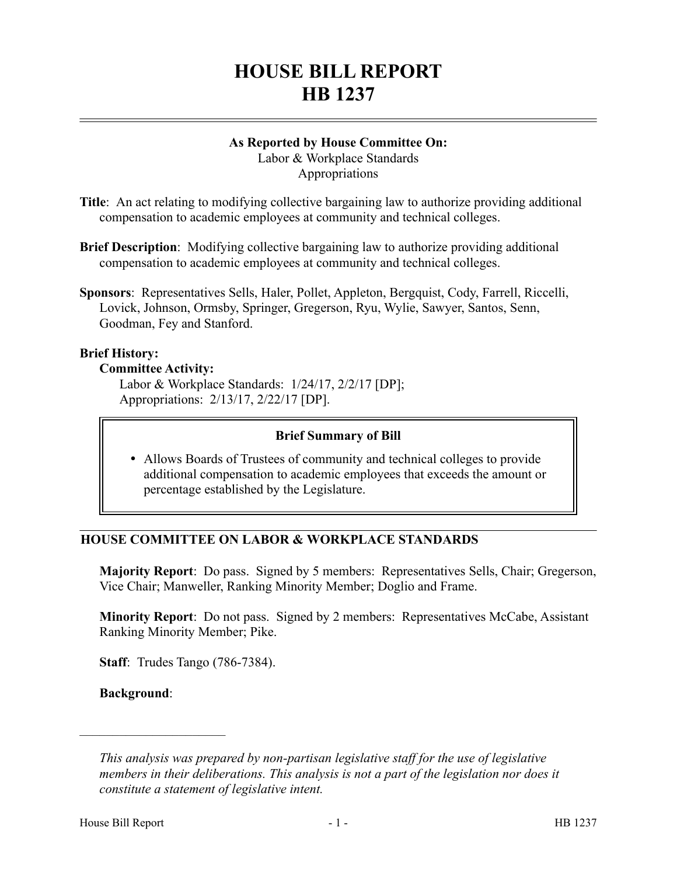# **HOUSE BILL REPORT HB 1237**

# **As Reported by House Committee On:**

Labor & Workplace Standards Appropriations

**Title**: An act relating to modifying collective bargaining law to authorize providing additional compensation to academic employees at community and technical colleges.

- **Brief Description**: Modifying collective bargaining law to authorize providing additional compensation to academic employees at community and technical colleges.
- **Sponsors**: Representatives Sells, Haler, Pollet, Appleton, Bergquist, Cody, Farrell, Riccelli, Lovick, Johnson, Ormsby, Springer, Gregerson, Ryu, Wylie, Sawyer, Santos, Senn, Goodman, Fey and Stanford.

### **Brief History:**

#### **Committee Activity:**

Labor & Workplace Standards: 1/24/17, 2/2/17 [DP]; Appropriations: 2/13/17, 2/22/17 [DP].

### **Brief Summary of Bill**

 Allows Boards of Trustees of community and technical colleges to provide additional compensation to academic employees that exceeds the amount or percentage established by the Legislature.

# **HOUSE COMMITTEE ON LABOR & WORKPLACE STANDARDS**

**Majority Report**: Do pass. Signed by 5 members: Representatives Sells, Chair; Gregerson, Vice Chair; Manweller, Ranking Minority Member; Doglio and Frame.

**Minority Report**: Do not pass. Signed by 2 members: Representatives McCabe, Assistant Ranking Minority Member; Pike.

**Staff**: Trudes Tango (786-7384).

**Background**:

––––––––––––––––––––––

*This analysis was prepared by non-partisan legislative staff for the use of legislative members in their deliberations. This analysis is not a part of the legislation nor does it constitute a statement of legislative intent.*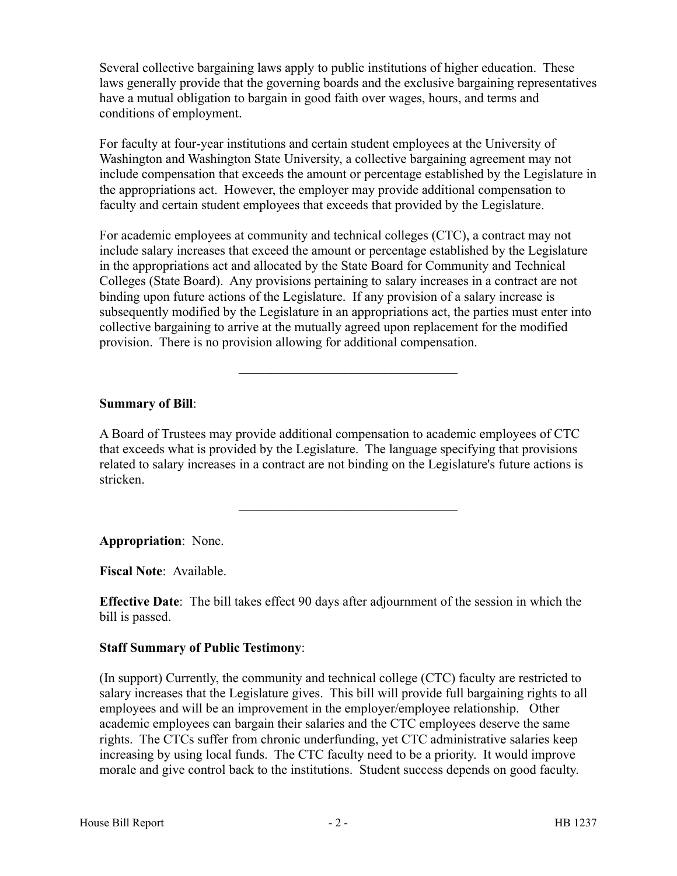Several collective bargaining laws apply to public institutions of higher education. These laws generally provide that the governing boards and the exclusive bargaining representatives have a mutual obligation to bargain in good faith over wages, hours, and terms and conditions of employment.

For faculty at four-year institutions and certain student employees at the University of Washington and Washington State University, a collective bargaining agreement may not include compensation that exceeds the amount or percentage established by the Legislature in the appropriations act. However, the employer may provide additional compensation to faculty and certain student employees that exceeds that provided by the Legislature.

For academic employees at community and technical colleges (CTC), a contract may not include salary increases that exceed the amount or percentage established by the Legislature in the appropriations act and allocated by the State Board for Community and Technical Colleges (State Board). Any provisions pertaining to salary increases in a contract are not binding upon future actions of the Legislature. If any provision of a salary increase is subsequently modified by the Legislature in an appropriations act, the parties must enter into collective bargaining to arrive at the mutually agreed upon replacement for the modified provision. There is no provision allowing for additional compensation.

–––––––––––––––––––––––––––––––––

### **Summary of Bill**:

A Board of Trustees may provide additional compensation to academic employees of CTC that exceeds what is provided by the Legislature. The language specifying that provisions related to salary increases in a contract are not binding on the Legislature's future actions is stricken.

–––––––––––––––––––––––––––––––––

**Appropriation**: None.

**Fiscal Note**: Available.

**Effective Date**: The bill takes effect 90 days after adjournment of the session in which the bill is passed.

#### **Staff Summary of Public Testimony**:

(In support) Currently, the community and technical college (CTC) faculty are restricted to salary increases that the Legislature gives. This bill will provide full bargaining rights to all employees and will be an improvement in the employer/employee relationship. Other academic employees can bargain their salaries and the CTC employees deserve the same rights. The CTCs suffer from chronic underfunding, yet CTC administrative salaries keep increasing by using local funds. The CTC faculty need to be a priority. It would improve morale and give control back to the institutions. Student success depends on good faculty.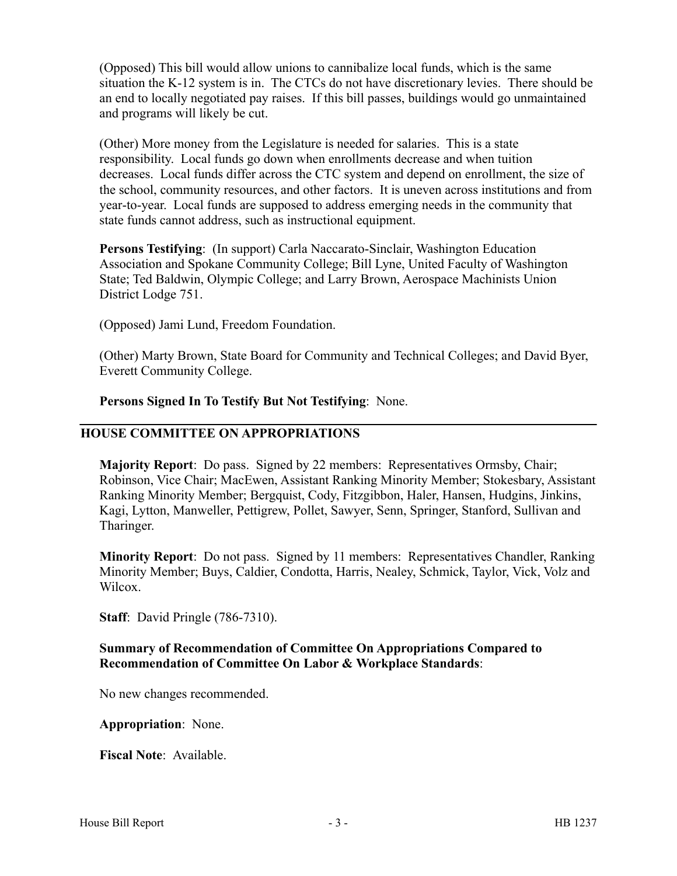(Opposed) This bill would allow unions to cannibalize local funds, which is the same situation the K-12 system is in. The CTCs do not have discretionary levies. There should be an end to locally negotiated pay raises. If this bill passes, buildings would go unmaintained and programs will likely be cut.

(Other) More money from the Legislature is needed for salaries. This is a state responsibility. Local funds go down when enrollments decrease and when tuition decreases. Local funds differ across the CTC system and depend on enrollment, the size of the school, community resources, and other factors. It is uneven across institutions and from year-to-year. Local funds are supposed to address emerging needs in the community that state funds cannot address, such as instructional equipment.

**Persons Testifying**: (In support) Carla Naccarato-Sinclair, Washington Education Association and Spokane Community College; Bill Lyne, United Faculty of Washington State; Ted Baldwin, Olympic College; and Larry Brown, Aerospace Machinists Union District Lodge 751.

(Opposed) Jami Lund, Freedom Foundation.

(Other) Marty Brown, State Board for Community and Technical Colleges; and David Byer, Everett Community College.

**Persons Signed In To Testify But Not Testifying**: None.

### **HOUSE COMMITTEE ON APPROPRIATIONS**

**Majority Report**: Do pass. Signed by 22 members: Representatives Ormsby, Chair; Robinson, Vice Chair; MacEwen, Assistant Ranking Minority Member; Stokesbary, Assistant Ranking Minority Member; Bergquist, Cody, Fitzgibbon, Haler, Hansen, Hudgins, Jinkins, Kagi, Lytton, Manweller, Pettigrew, Pollet, Sawyer, Senn, Springer, Stanford, Sullivan and Tharinger.

**Minority Report**: Do not pass. Signed by 11 members: Representatives Chandler, Ranking Minority Member; Buys, Caldier, Condotta, Harris, Nealey, Schmick, Taylor, Vick, Volz and Wilcox.

**Staff**: David Pringle (786-7310).

### **Summary of Recommendation of Committee On Appropriations Compared to Recommendation of Committee On Labor & Workplace Standards**:

No new changes recommended.

**Appropriation**: None.

**Fiscal Note**: Available.